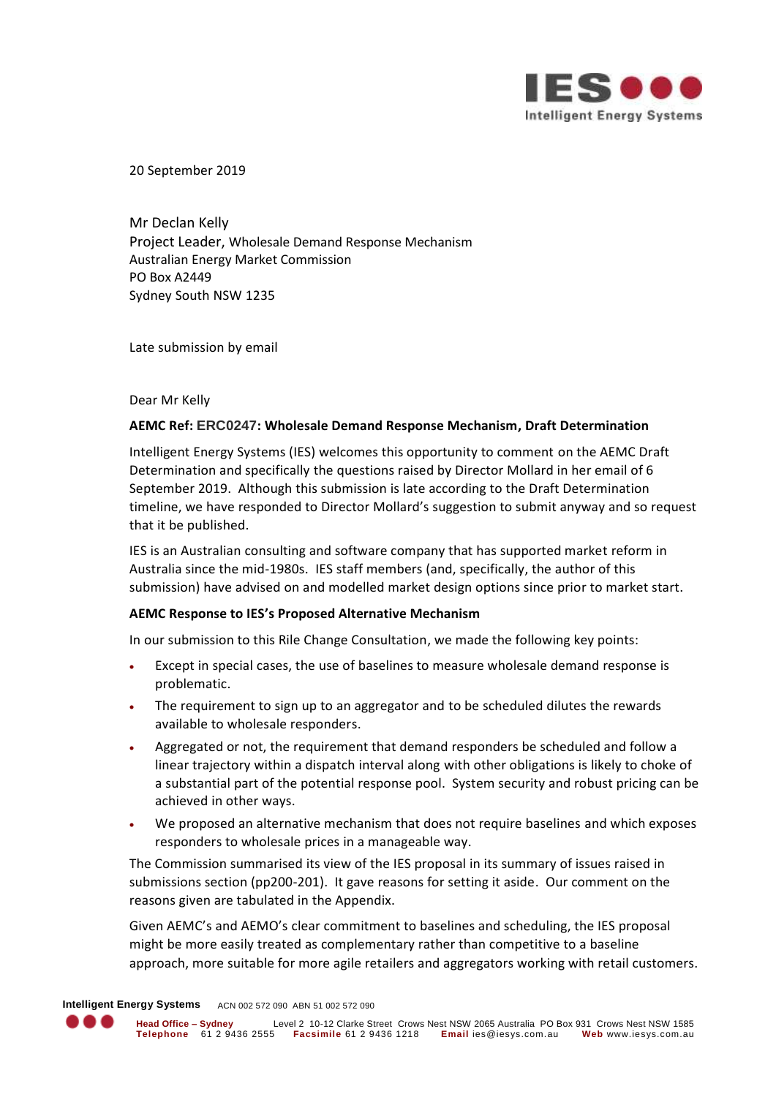

20 September 2019

Mr Declan Kelly Project Leader, Wholesale Demand Response Mechanism Australian Energy Market Commission PO Box A2449 Sydney South NSW 1235

Late submission by email

Dear Mr Kelly

# **AEMC Ref: ERC0247: Wholesale Demand Response Mechanism, Draft Determination**

Intelligent Energy Systems (IES) welcomes this opportunity to comment on the AEMC Draft Determination and specifically the questions raised by Director Mollard in her email of 6 September 2019. Although this submission is late according to the Draft Determination timeline, we have responded to Director Mollard's suggestion to submit anyway and so request that it be published.

IES is an Australian consulting and software company that has supported market reform in Australia since the mid-1980s. IES staff members (and, specifically, the author of this submission) have advised on and modelled market design options since prior to market start.

# **AEMC Response to IES's Proposed Alternative Mechanism**

In our submission to this Rile Change Consultation, we made the following key points:

- Except in special cases, the use of baselines to measure wholesale demand response is problematic.
- The requirement to sign up to an aggregator and to be scheduled dilutes the rewards available to wholesale responders.
- Aggregated or not, the requirement that demand responders be scheduled and follow a linear trajectory within a dispatch interval along with other obligations is likely to choke of a substantial part of the potential response pool. System security and robust pricing can be achieved in other ways.
- We proposed an alternative mechanism that does not require baselines and which exposes responders to wholesale prices in a manageable way.

The Commission summarised its view of the IES proposal in its summary of issues raised in submissions section (pp200-201). It gave reasons for setting it aside. Our comment on the reasons given are tabulated in the Appendix.

Given AEMC's and AEMO's clear commitment to baselines and scheduling, the IES proposal might be more easily treated as complementary rather than competitive to a baseline approach, more suitable for more agile retailers and aggregators working with retail customers.

**Intelligent Energy Systems** ACN 002 572 090 ABN 51 002 572 090

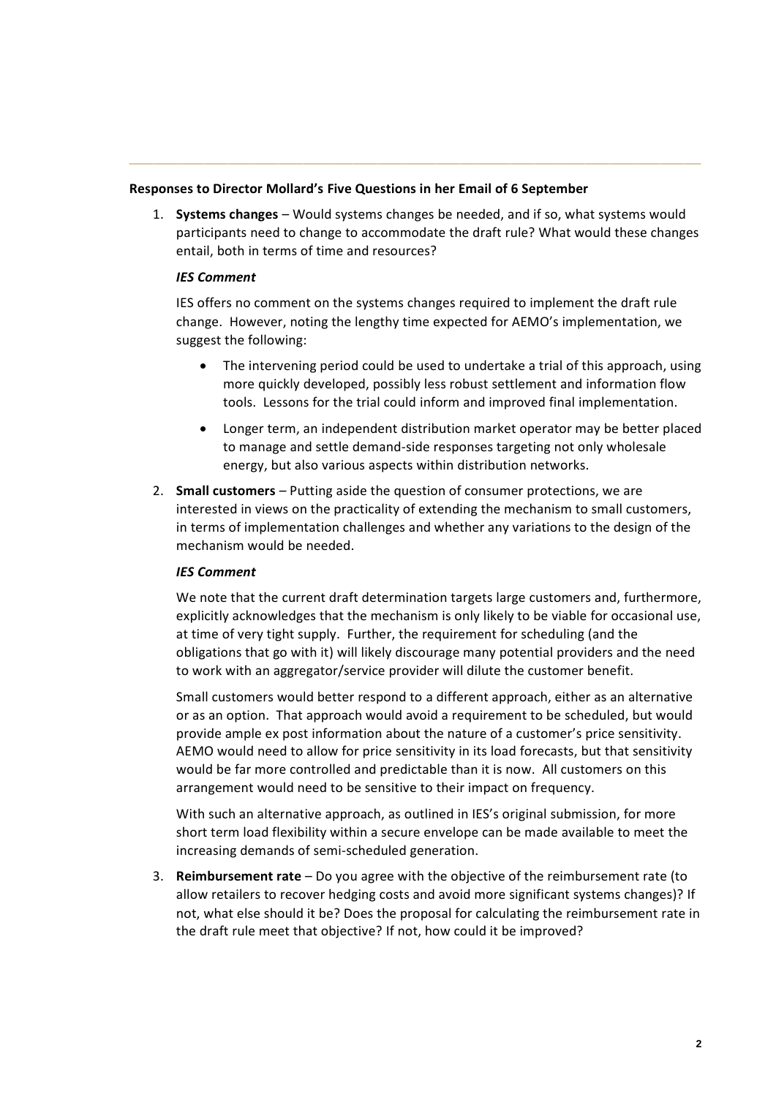# **Responses to Director Mollard's Five Questions in her Email of 6 September**

1. **Systems changes** – Would systems changes be needed, and if so, what systems would participants need to change to accommodate the draft rule? What would these changes entail, both in terms of time and resources?

**\_\_\_\_\_\_\_\_\_\_\_\_\_\_\_\_\_\_\_\_\_\_\_\_\_\_\_\_\_\_\_\_\_\_\_\_\_\_\_\_\_\_\_\_\_\_\_\_\_\_\_\_\_\_\_\_\_\_\_\_\_\_\_\_\_\_\_\_\_**

# *IES Comment*

IES offers no comment on the systems changes required to implement the draft rule change. However, noting the lengthy time expected for AEMO's implementation, we suggest the following:

- The intervening period could be used to undertake a trial of this approach, using more quickly developed, possibly less robust settlement and information flow tools. Lessons for the trial could inform and improved final implementation.
- Longer term, an independent distribution market operator may be better placed to manage and settle demand-side responses targeting not only wholesale energy, but also various aspects within distribution networks.
- 2. **Small customers** Putting aside the question of consumer protections, we are interested in views on the practicality of extending the mechanism to small customers, in terms of implementation challenges and whether any variations to the design of the mechanism would be needed.

#### *IES Comment*

We note that the current draft determination targets large customers and, furthermore, explicitly acknowledges that the mechanism is only likely to be viable for occasional use, at time of very tight supply. Further, the requirement for scheduling (and the obligations that go with it) will likely discourage many potential providers and the need to work with an aggregator/service provider will dilute the customer benefit.

Small customers would better respond to a different approach, either as an alternative or as an option. That approach would avoid a requirement to be scheduled, but would provide ample ex post information about the nature of a customer's price sensitivity. AEMO would need to allow for price sensitivity in its load forecasts, but that sensitivity would be far more controlled and predictable than it is now. All customers on this arrangement would need to be sensitive to their impact on frequency.

With such an alternative approach, as outlined in IES's original submission, for more short term load flexibility within a secure envelope can be made available to meet the increasing demands of semi-scheduled generation.

3. **Reimbursement rate** – Do you agree with the objective of the reimbursement rate (to allow retailers to recover hedging costs and avoid more significant systems changes)? If not, what else should it be? Does the proposal for calculating the reimbursement rate in the draft rule meet that objective? If not, how could it be improved?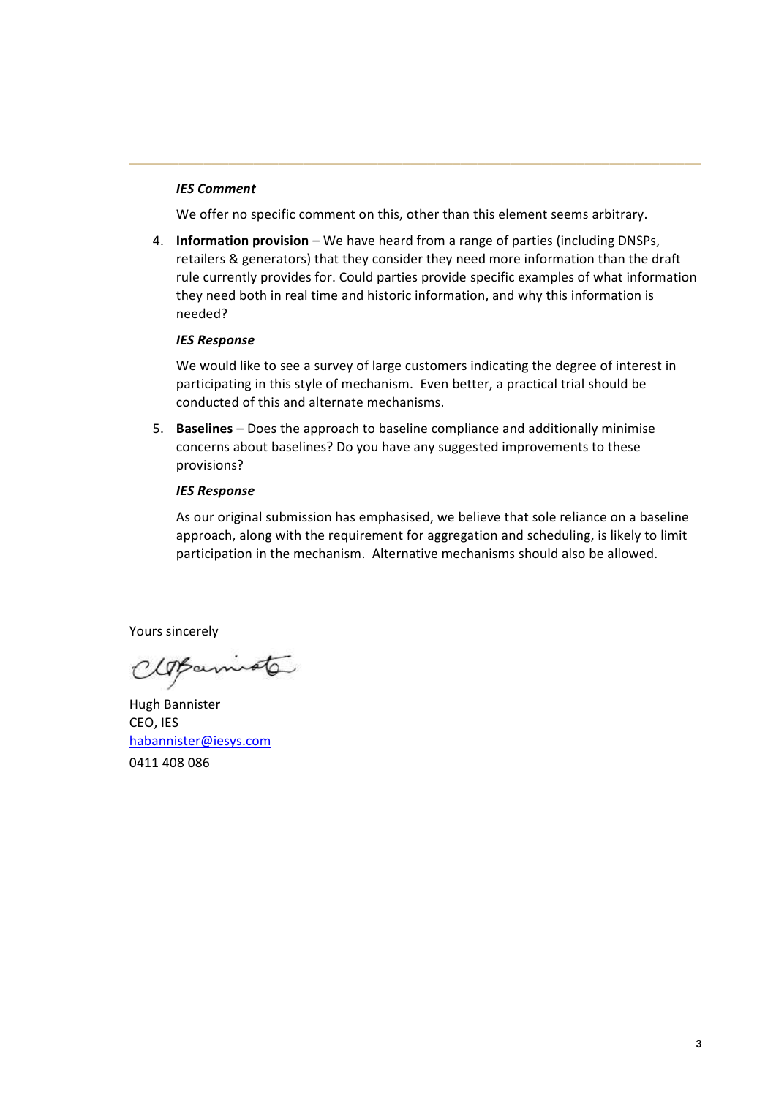# *IES Comment*

We offer no specific comment on this, other than this element seems arbitrary.

**\_\_\_\_\_\_\_\_\_\_\_\_\_\_\_\_\_\_\_\_\_\_\_\_\_\_\_\_\_\_\_\_\_\_\_\_\_\_\_\_\_\_\_\_\_\_\_\_\_\_\_\_\_\_\_\_\_\_\_\_\_\_\_\_\_\_\_\_\_**

4. **Information provision** – We have heard from a range of parties (including DNSPs, retailers & generators) that they consider they need more information than the draft rule currently provides for. Could parties provide specific examples of what information they need both in real time and historic information, and why this information is needed?

#### *IES Response*

We would like to see a survey of large customers indicating the degree of interest in participating in this style of mechanism. Even better, a practical trial should be conducted of this and alternate mechanisms.

5. **Baselines** – Does the approach to baseline compliance and additionally minimise concerns about baselines? Do you have any suggested improvements to these provisions?

## *IES Response*

As our original submission has emphasised, we believe that sole reliance on a baseline approach, along with the requirement for aggregation and scheduling, is likely to limit participation in the mechanism. Alternative mechanisms should also be allowed.

Yours sincerely

CloBarniote

Hugh Bannister CEO, IES [habannister@iesys.com](mailto:habannister@iesys.com) 0411 408 086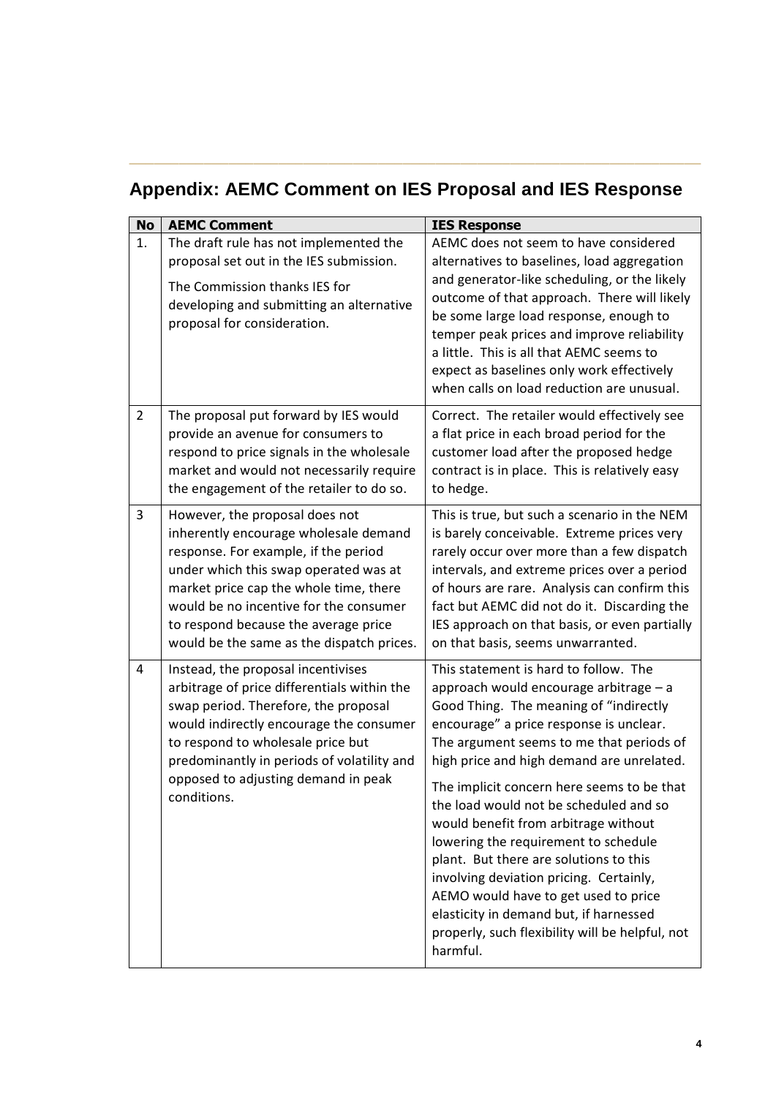# **Appendix: AEMC Comment on IES Proposal and IES Response**

**\_\_\_\_\_\_\_\_\_\_\_\_\_\_\_\_\_\_\_\_\_\_\_\_\_\_\_\_\_\_\_\_\_\_\_\_\_\_\_\_\_\_\_\_\_\_\_\_\_\_\_\_\_\_\_\_\_\_\_\_\_\_\_\_\_\_\_\_\_**

| <b>No</b>      | <b>AEMC Comment</b>                                                                                                                                                                                                                                                                                                               | <b>IES Response</b>                                                                                                                                                                                                                                                                                                                                                                                                                                                                                                                                                                                                                                                         |
|----------------|-----------------------------------------------------------------------------------------------------------------------------------------------------------------------------------------------------------------------------------------------------------------------------------------------------------------------------------|-----------------------------------------------------------------------------------------------------------------------------------------------------------------------------------------------------------------------------------------------------------------------------------------------------------------------------------------------------------------------------------------------------------------------------------------------------------------------------------------------------------------------------------------------------------------------------------------------------------------------------------------------------------------------------|
| 1.             | The draft rule has not implemented the<br>proposal set out in the IES submission.<br>The Commission thanks IES for<br>developing and submitting an alternative<br>proposal for consideration.                                                                                                                                     | AEMC does not seem to have considered<br>alternatives to baselines, load aggregation<br>and generator-like scheduling, or the likely<br>outcome of that approach. There will likely<br>be some large load response, enough to<br>temper peak prices and improve reliability<br>a little. This is all that AEMC seems to<br>expect as baselines only work effectively<br>when calls on load reduction are unusual.                                                                                                                                                                                                                                                           |
| $\overline{2}$ | The proposal put forward by IES would<br>provide an avenue for consumers to<br>respond to price signals in the wholesale<br>market and would not necessarily require<br>the engagement of the retailer to do so.                                                                                                                  | Correct. The retailer would effectively see<br>a flat price in each broad period for the<br>customer load after the proposed hedge<br>contract is in place. This is relatively easy<br>to hedge.                                                                                                                                                                                                                                                                                                                                                                                                                                                                            |
| 3              | However, the proposal does not<br>inherently encourage wholesale demand<br>response. For example, if the period<br>under which this swap operated was at<br>market price cap the whole time, there<br>would be no incentive for the consumer<br>to respond because the average price<br>would be the same as the dispatch prices. | This is true, but such a scenario in the NEM<br>is barely conceivable. Extreme prices very<br>rarely occur over more than a few dispatch<br>intervals, and extreme prices over a period<br>of hours are rare. Analysis can confirm this<br>fact but AEMC did not do it. Discarding the<br>IES approach on that basis, or even partially<br>on that basis, seems unwarranted.                                                                                                                                                                                                                                                                                                |
| 4              | Instead, the proposal incentivises<br>arbitrage of price differentials within the<br>swap period. Therefore, the proposal<br>would indirectly encourage the consumer<br>to respond to wholesale price but<br>predominantly in periods of volatility and<br>opposed to adjusting demand in peak<br>conditions.                     | This statement is hard to follow. The<br>approach would encourage arbitrage - a<br>Good Thing. The meaning of "indirectly<br>encourage" a price response is unclear.<br>The argument seems to me that periods of<br>high price and high demand are unrelated.<br>The implicit concern here seems to be that<br>the load would not be scheduled and so<br>would benefit from arbitrage without<br>lowering the requirement to schedule<br>plant. But there are solutions to this<br>involving deviation pricing. Certainly,<br>AEMO would have to get used to price<br>elasticity in demand but, if harnessed<br>properly, such flexibility will be helpful, not<br>harmful. |